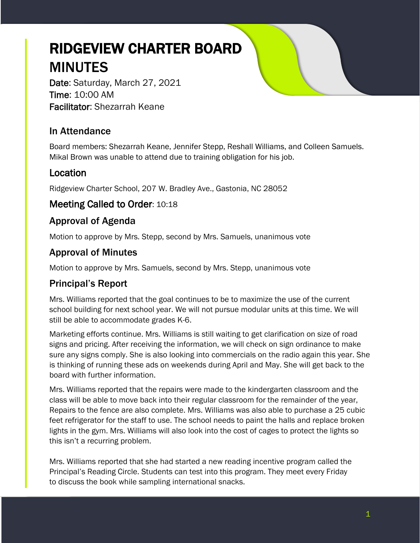# RIDGEVIEW CHARTER BOARD MINUTES

Date: Saturday, March 27, 2021 Time: 10:00 AM Facilitator: Shezarrah Keane

# In Attendance

Board members: Shezarrah Keane, Jennifer Stepp, Reshall Williams, and Colleen Samuels. Mikal Brown was unable to attend due to training obligation for his job.

## Location

Ridgeview Charter School, 207 W. Bradley Ave., Gastonia, NC 28052

#### Meeting Called to Order: 10:18

## Approval of Agenda

Motion to approve by Mrs. Stepp, second by Mrs. Samuels, unanimous vote

## Approval of Minutes

Motion to approve by Mrs. Samuels, second by Mrs. Stepp, unanimous vote

## Principal's Report

Mrs. Williams reported that the goal continues to be to maximize the use of the current school building for next school year. We will not pursue modular units at this time. We will still be able to accommodate grades K-6.

Marketing efforts continue. Mrs. Williams is still waiting to get clarification on size of road signs and pricing. After receiving the information, we will check on sign ordinance to make sure any signs comply. She is also looking into commercials on the radio again this year. She is thinking of running these ads on weekends during April and May. She will get back to the board with further information.

Mrs. Williams reported that the repairs were made to the kindergarten classroom and the class will be able to move back into their regular classroom for the remainder of the year, Repairs to the fence are also complete. Mrs. Williams was also able to purchase a 25 cubic feet refrigerator for the staff to use. The school needs to paint the halls and replace broken lights in the gym. Mrs. Williams will also look into the cost of cages to protect the lights so this isn't a recurring problem.

Mrs. Williams reported that she had started a new reading incentive program called the Principal's Reading Circle. Students can test into this program. They meet every Friday to discuss the book while sampling international snacks.